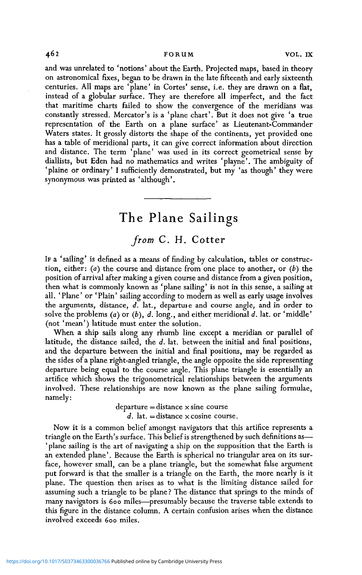## **462 FORUM VOL. IX**

and was unrelated to 'notions' about the Earth. Projected maps, based in theory on astronomical fixes, began to be drawn in the late fifteenth and early sixteenth centuries. All maps are 'plane' in Cortes' sense, i.e. they are drawn on a flat, instead of a globular surface. They are therefore all imperfect, and the fact that maritime charts failed to show the convergence of the meridians was constantly stressed. Mercator's is a 'plane chart'. But it does not give 'a true representation of the Earth on a plane surface' as Lieutenant-Commander Waters states. It grossly distorts the shape of the continents, yet provided one has a table of meridional parts, it can give correct information about direction and distance. The term 'plane' was used in its correct geometrical sense by diallists, but Eden had no mathematics and writes 'playne'. The ambiguity of 'plaine or ordinary' I sufficiently demonstrated, but my 'as though' they were synonymous was printed as 'although'.

## The Plane Sailings

*from* C. H. Cotter

IF a 'sailing' is defined as a means of finding by calculation, tables or construction, either: *(a)* the course and distance from one place to another, or *(b)* the position of arrival after making a given course and distance from a given position, then what is commonly known as 'plane sailing' is not in this sense, a sailing at all. 'Plane' or 'Plain' sailing according to modern as well as early usage involves the arguments, distance, *d.* lat., departuie and course angle, and in order to solve the problems (a) or *(b), d.* long., and either meridional *d.* lat. or 'middle' (not 'mean') latitude must enter the solution.

When a ship sails along any rhumb line except a meridian or parallel of latitude, the distance sailed, the *d.* lat. between the initial and final positions, and the departure between the initial and final positions, may be regarded as the sides of a plane right-angled triangle, the angle opposite the side representing departure being equal to the course angle. This plane triangle is essentially an artifice which shows the trigonometrical relationships between the arguments involved. These relationships are now known as the plane sailing formulae, namely:

> $departure = distance \times sine course$  $d.$  lat.  $=$ distance  $\times$  cosine course.

Now it is a common belief amongst navigators that this artifice represents a triangle on the Earth's surface. This belief is strengthened by such definitions as— 'plane sailing is the art of navigating a ship on the supposition that the Earth is an extended plane'. Because the Earth is spherical no triangular area on its surface, however small, can be a plane triangle, but the somewhat false argument put forward is that the smaller is a triangle on the Earth, the more nearly is it plane. The question then arises as to what is the limiting distance sailed for assuming such a triangle to be plane? The distance that springs to the minds of many navigators is 600 miles—presumably because the traverse table extends to this figure in the distance column. A certain confusion arises when the distance involved exceeds 600 miles.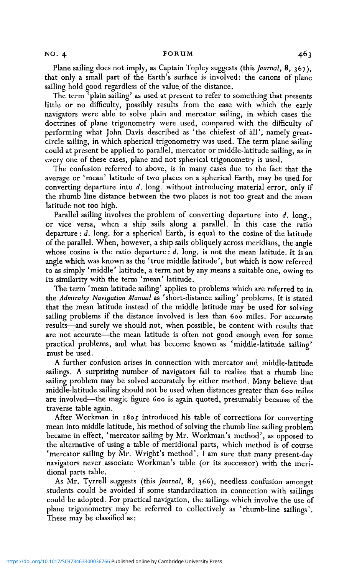Plane sailing does not imply, as Captain Topley suggests (this *Journal,* 8, 367), that only a small part of the Earth's surface is involved: the canons of plane sailing hold good regardless of the value, of the distance.

The term 'plain sailing' as used at present to refer to something that presents little or no difficulty, possibly results from the ease with which the early navigators were able to solve plain and mercator sailing, in which cases the doctrines of plane trigonometry were used, compared with the difficulty of performing what John Davis described as 'the chiefest of all', namely greatcircle sailing, in which spherical trigonometry was used. The term plane sailing could at present be applied to parallel, mercator or middle-latitude sailing, as in every one of these cases, plane and not spherical trigonometry is used.

The confusion referred to above, is in many cases due to the fact that the average or 'mean' latitude of two places on a spherical Earth, may be used for converting departure into *d.* long, without introducing material error, only if the rhumb line distance between the two places is not too great and the mean latitude not too high.

Parallel sailing involves the problem of converting departure into *d.* long., or vice versa, when a ship sails along a parallel. In this case the ratio departure: *d.* long, for a spherical Earth, is equal to the cosine of the latitude of the parallel. When, however, a ship sails obliquely across meridians, the angle whose cosine is the ratio departure: *d*. long, is not the mean latitude. It is an angle which was known as the ' true middle latitude', but which is now referred to as simply 'middle' latitude, a term not by any means a suitable one, owing to its similarity with the term 'mean' latitude.

The term 'mean latitude sailing' applies to problems which are referred to in the *Admiralty Navigation Manual* as 'short-distance sailing' problems. It is stated that the mean latitude instead of the middle latitude may be used for solving sailing problems if the distance involved is less than 600 miles. For accurate results—and surely we should not, when possible, be content with results that are not accurate—the mean latitude is often not good enough even for some practical problems, and what has become known as 'middle-latitude sailing' must be used.

A further confusion arises in connection with mercator and middle-latitude sailings. A surprising number of navigators fail to realize that a rhumb line sailing problem may be solved accurately by either method. Many believe that middle-latitude sailing should not be used when distances greater than 600 miles are involved—the magic figure 600 is again quoted, presumably because of the traverse table again.

After Workman in 1805 introduced his table of corrections for converting mean into middle latitude, his method of solving the rhumb line sailing problem became in effect, 'mercator sailing by Mr. Workman's method', as opposed to the alternative of using a table of meridional parts, which method is of course 'mercator sailing by Mr. Wright's method'. I am sure that many present-day navigators never associate Workman's table (or its successor) with the meridional parts table.

As Mr. Tyrrell suggests (this *Journal,* 8, 366), needless confusion amongst students could be avoided if some standardization in connection with sailings could be adopted. For practical navigation, the sailings which involve the use of plane trigonometry may be referred to collectively as 'rhumb-line sailings'. These may be classified as: